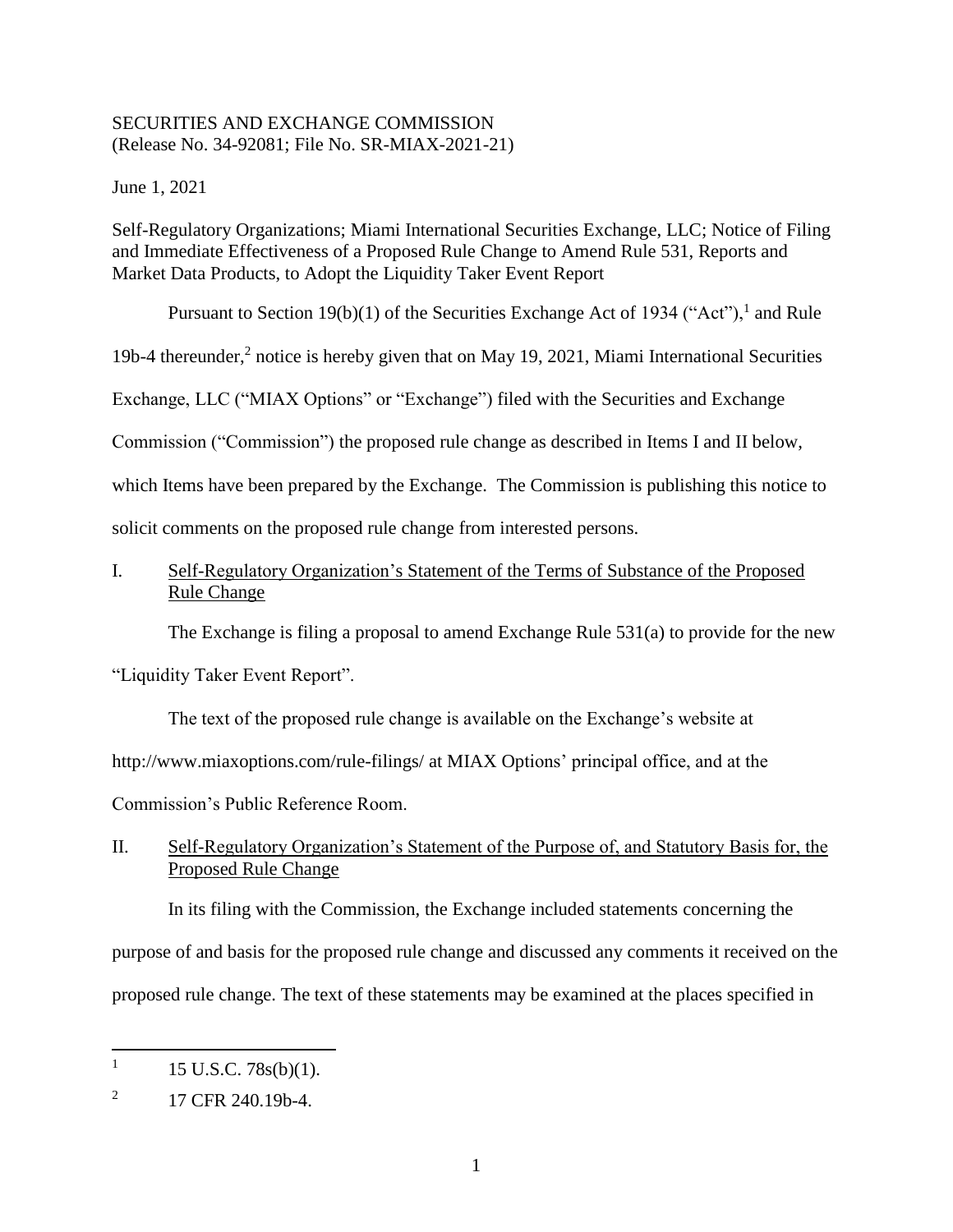### SECURITIES AND EXCHANGE COMMISSION (Release No. 34-92081; File No. SR-MIAX-2021-21)

June 1, 2021

Self-Regulatory Organizations; Miami International Securities Exchange, LLC; Notice of Filing and Immediate Effectiveness of a Proposed Rule Change to Amend Rule 531, Reports and Market Data Products, to Adopt the Liquidity Taker Event Report

Pursuant to Section 19(b)(1) of the Securities Exchange Act of 1934 ("Act"),  $\frac{1}{1}$  and Rule

19b-4 thereunder,<sup>2</sup> notice is hereby given that on May 19, 2021, Miami International Securities

Exchange, LLC ("MIAX Options" or "Exchange") filed with the Securities and Exchange

Commission ("Commission") the proposed rule change as described in Items I and II below,

which Items have been prepared by the Exchange. The Commission is publishing this notice to

solicit comments on the proposed rule change from interested persons.

## I. Self-Regulatory Organization's Statement of the Terms of Substance of the Proposed Rule Change

The Exchange is filing a proposal to amend Exchange Rule 531(a) to provide for the new

"Liquidity Taker Event Report".

The text of the proposed rule change is available on the Exchange's website at

http://www.miaxoptions.com/rule-filings/ at MIAX Options' principal office, and at the

Commission's Public Reference Room.

II. Self-Regulatory Organization's Statement of the Purpose of, and Statutory Basis for, the Proposed Rule Change

In its filing with the Commission, the Exchange included statements concerning the

purpose of and basis for the proposed rule change and discussed any comments it received on the

proposed rule change. The text of these statements may be examined at the places specified in

 $\overline{a}$ 

<sup>1</sup> 15 U.S.C. 78s(b)(1).

<sup>2</sup> 17 CFR 240.19b-4.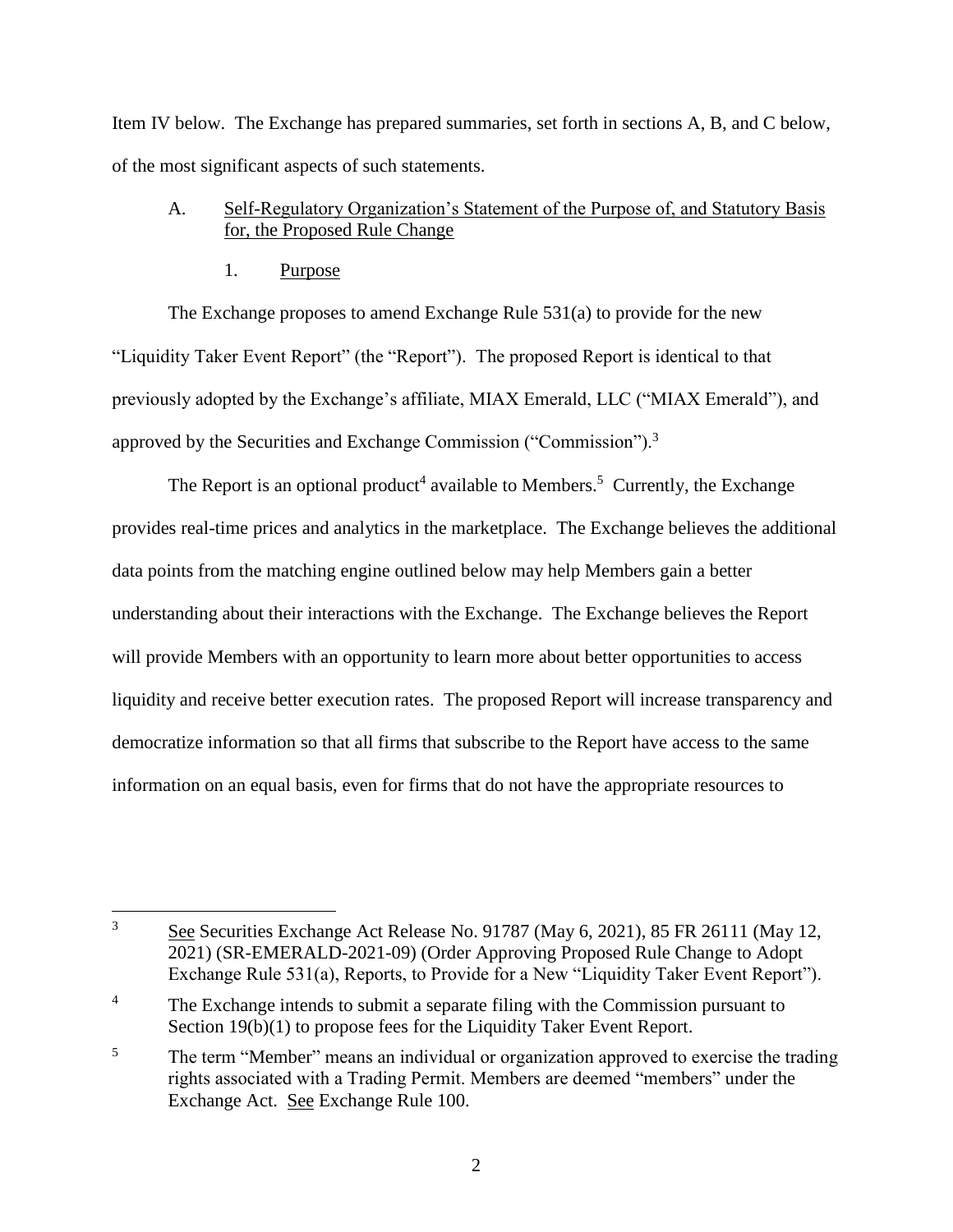Item IV below. The Exchange has prepared summaries, set forth in sections A, B, and C below, of the most significant aspects of such statements.

# A. Self-Regulatory Organization's Statement of the Purpose of, and Statutory Basis for, the Proposed Rule Change

1. Purpose

The Exchange proposes to amend Exchange Rule 531(a) to provide for the new "Liquidity Taker Event Report" (the "Report"). The proposed Report is identical to that previously adopted by the Exchange's affiliate, MIAX Emerald, LLC ("MIAX Emerald"), and approved by the Securities and Exchange Commission ("Commission").<sup>3</sup>

The Report is an optional product<sup>4</sup> available to Members.<sup>5</sup> Currently, the Exchange provides real-time prices and analytics in the marketplace. The Exchange believes the additional data points from the matching engine outlined below may help Members gain a better understanding about their interactions with the Exchange. The Exchange believes the Report will provide Members with an opportunity to learn more about better opportunities to access liquidity and receive better execution rates. The proposed Report will increase transparency and democratize information so that all firms that subscribe to the Report have access to the same information on an equal basis, even for firms that do not have the appropriate resources to

 $\overline{3}$ <sup>3</sup> See Securities Exchange Act Release No. 91787 (May 6, 2021), 85 FR 26111 (May 12, 2021) (SR-EMERALD-2021-09) (Order Approving Proposed Rule Change to Adopt Exchange Rule 531(a), Reports, to Provide for a New "Liquidity Taker Event Report").

<sup>&</sup>lt;sup>4</sup> The Exchange intends to submit a separate filing with the Commission pursuant to Section 19(b)(1) to propose fees for the Liquidity Taker Event Report.

<sup>&</sup>lt;sup>5</sup> The term "Member" means an individual or organization approved to exercise the trading rights associated with a Trading Permit. Members are deemed "members" under the Exchange Act. See Exchange Rule 100.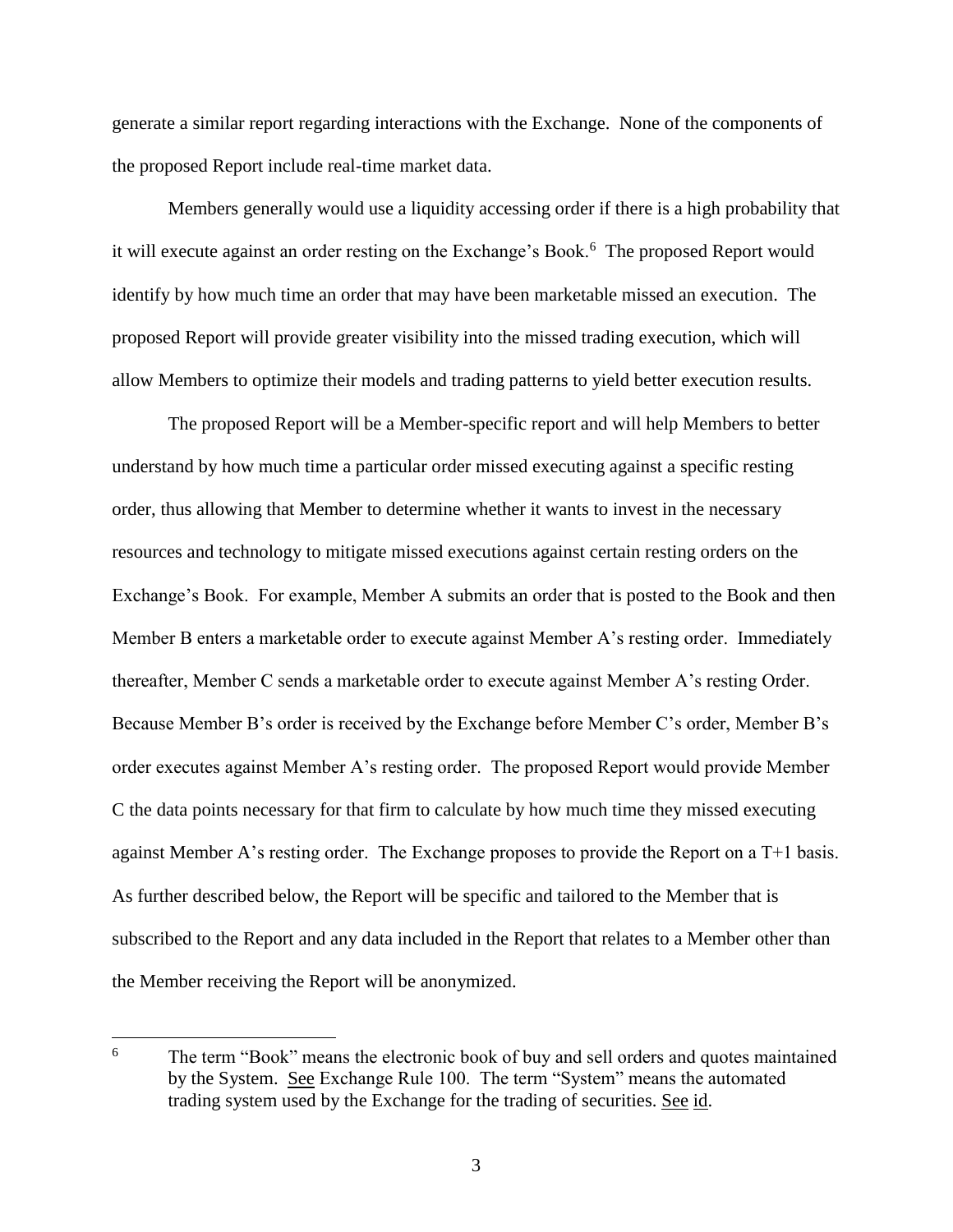generate a similar report regarding interactions with the Exchange. None of the components of the proposed Report include real-time market data.

Members generally would use a liquidity accessing order if there is a high probability that it will execute against an order resting on the Exchange's Book.<sup>6</sup> The proposed Report would identify by how much time an order that may have been marketable missed an execution. The proposed Report will provide greater visibility into the missed trading execution, which will allow Members to optimize their models and trading patterns to yield better execution results.

The proposed Report will be a Member-specific report and will help Members to better understand by how much time a particular order missed executing against a specific resting order, thus allowing that Member to determine whether it wants to invest in the necessary resources and technology to mitigate missed executions against certain resting orders on the Exchange's Book. For example, Member A submits an order that is posted to the Book and then Member B enters a marketable order to execute against Member A's resting order. Immediately thereafter, Member C sends a marketable order to execute against Member A's resting Order. Because Member B's order is received by the Exchange before Member C's order, Member B's order executes against Member A's resting order. The proposed Report would provide Member C the data points necessary for that firm to calculate by how much time they missed executing against Member A's resting order. The Exchange proposes to provide the Report on a T+1 basis. As further described below, the Report will be specific and tailored to the Member that is subscribed to the Report and any data included in the Report that relates to a Member other than the Member receiving the Report will be anonymized.

<sup>6</sup> The term "Book" means the electronic book of buy and sell orders and quotes maintained by the System. See Exchange Rule 100. The term "System" means the automated trading system used by the Exchange for the trading of securities. See id.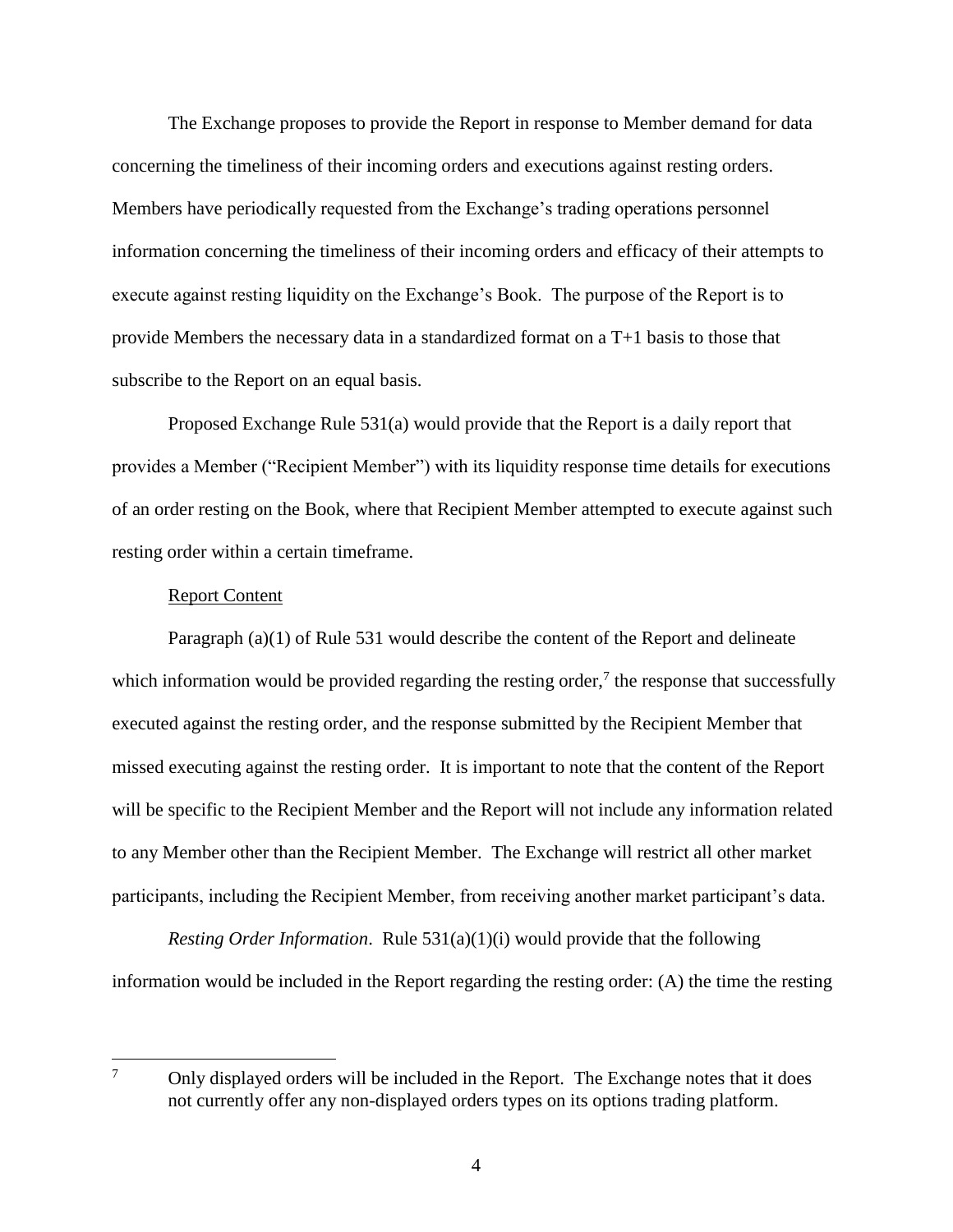The Exchange proposes to provide the Report in response to Member demand for data concerning the timeliness of their incoming orders and executions against resting orders. Members have periodically requested from the Exchange's trading operations personnel information concerning the timeliness of their incoming orders and efficacy of their attempts to execute against resting liquidity on the Exchange's Book. The purpose of the Report is to provide Members the necessary data in a standardized format on a T+1 basis to those that subscribe to the Report on an equal basis.

Proposed Exchange Rule 531(a) would provide that the Report is a daily report that provides a Member ("Recipient Member") with its liquidity response time details for executions of an order resting on the Book, where that Recipient Member attempted to execute against such resting order within a certain timeframe.

#### Report Content

Paragraph (a)(1) of Rule 531 would describe the content of the Report and delineate which information would be provided regarding the resting order,<sup>7</sup> the response that successfully executed against the resting order, and the response submitted by the Recipient Member that missed executing against the resting order. It is important to note that the content of the Report will be specific to the Recipient Member and the Report will not include any information related to any Member other than the Recipient Member. The Exchange will restrict all other market participants, including the Recipient Member, from receiving another market participant's data.

*Resting Order Information*. Rule 531(a)(1)(i) would provide that the following information would be included in the Report regarding the resting order: (A) the time the resting

 $\overline{7}$ <sup>7</sup> Only displayed orders will be included in the Report. The Exchange notes that it does not currently offer any non-displayed orders types on its options trading platform.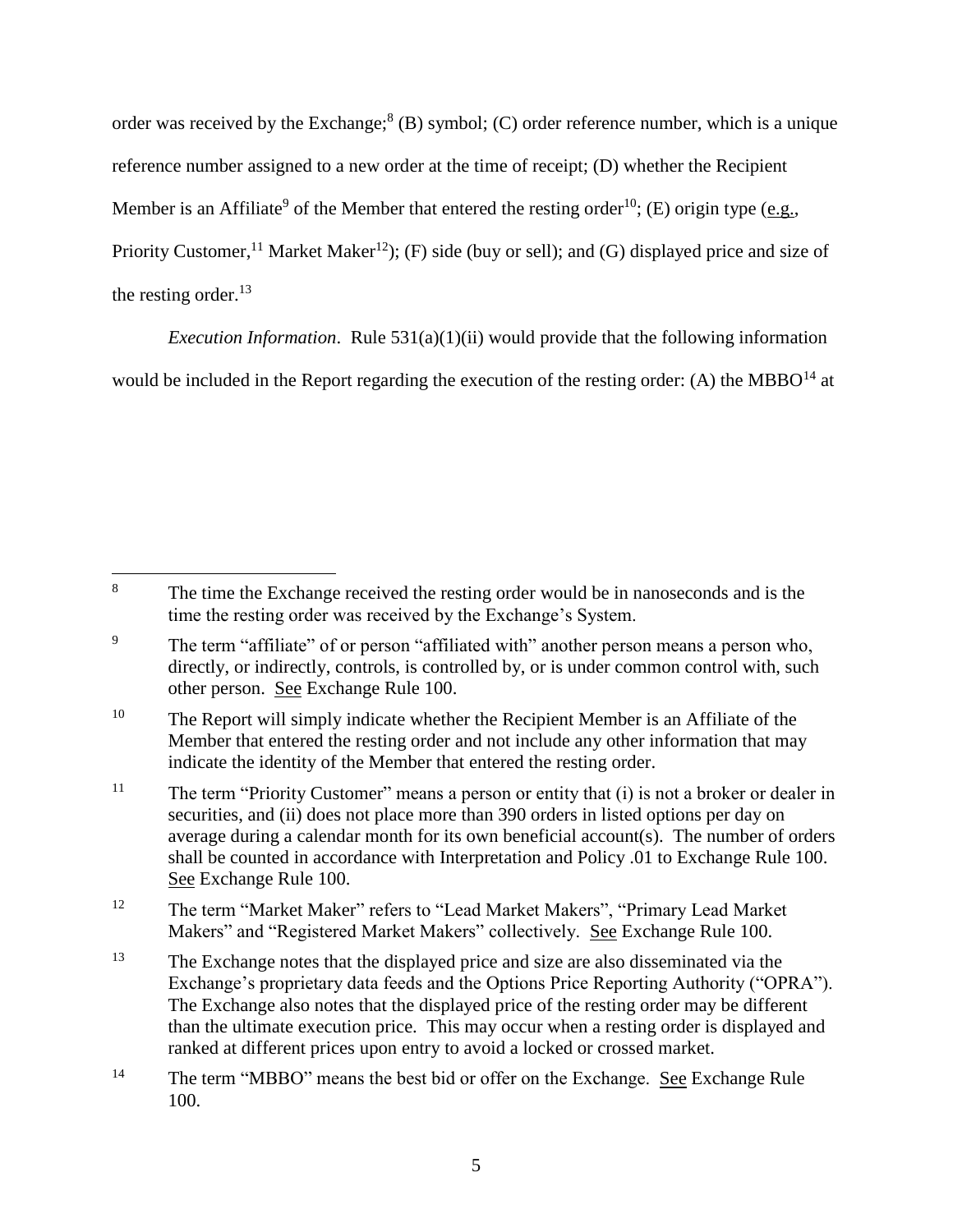order was received by the Exchange;  $8$  (B) symbol; (C) order reference number, which is a unique reference number assigned to a new order at the time of receipt; (D) whether the Recipient Member is an Affiliate<sup>9</sup> of the Member that entered the resting order<sup>10</sup>; (E) origin type ( $e.g.,$ Priority Customer,<sup>11</sup> Market Maker<sup>12</sup>); (F) side (buy or sell); and (G) displayed price and size of the resting order. $^{13}$ 

*Execution Information*. Rule 531(a)(1)(ii) would provide that the following information

would be included in the Report regarding the execution of the resting order: (A) the MBBO<sup>14</sup> at

 $\overline{a}$ <sup>8</sup> The time the Exchange received the resting order would be in nanoseconds and is the time the resting order was received by the Exchange's System.

<sup>&</sup>lt;sup>9</sup> The term "affiliate" of or person "affiliated with" another person means a person who, directly, or indirectly, controls, is controlled by, or is under common control with, such other person. See Exchange Rule 100.

 $10$  The Report will simply indicate whether the Recipient Member is an Affiliate of the Member that entered the resting order and not include any other information that may indicate the identity of the Member that entered the resting order.

<sup>&</sup>lt;sup>11</sup> The term "Priority Customer" means a person or entity that (i) is not a broker or dealer in securities, and (ii) does not place more than 390 orders in listed options per day on average during a calendar month for its own beneficial account(s). The number of orders shall be counted in accordance with Interpretation and Policy .01 to Exchange Rule 100. See Exchange Rule 100.

<sup>&</sup>lt;sup>12</sup> The term "Market Maker" refers to "Lead Market Makers", "Primary Lead Market Makers" and "Registered Market Makers" collectively. See Exchange Rule 100.

<sup>&</sup>lt;sup>13</sup> The Exchange notes that the displayed price and size are also disseminated via the Exchange's proprietary data feeds and the Options Price Reporting Authority ("OPRA"). The Exchange also notes that the displayed price of the resting order may be different than the ultimate execution price. This may occur when a resting order is displayed and ranked at different prices upon entry to avoid a locked or crossed market.

<sup>&</sup>lt;sup>14</sup> The term "MBBO" means the best bid or offer on the Exchange. See Exchange Rule 100.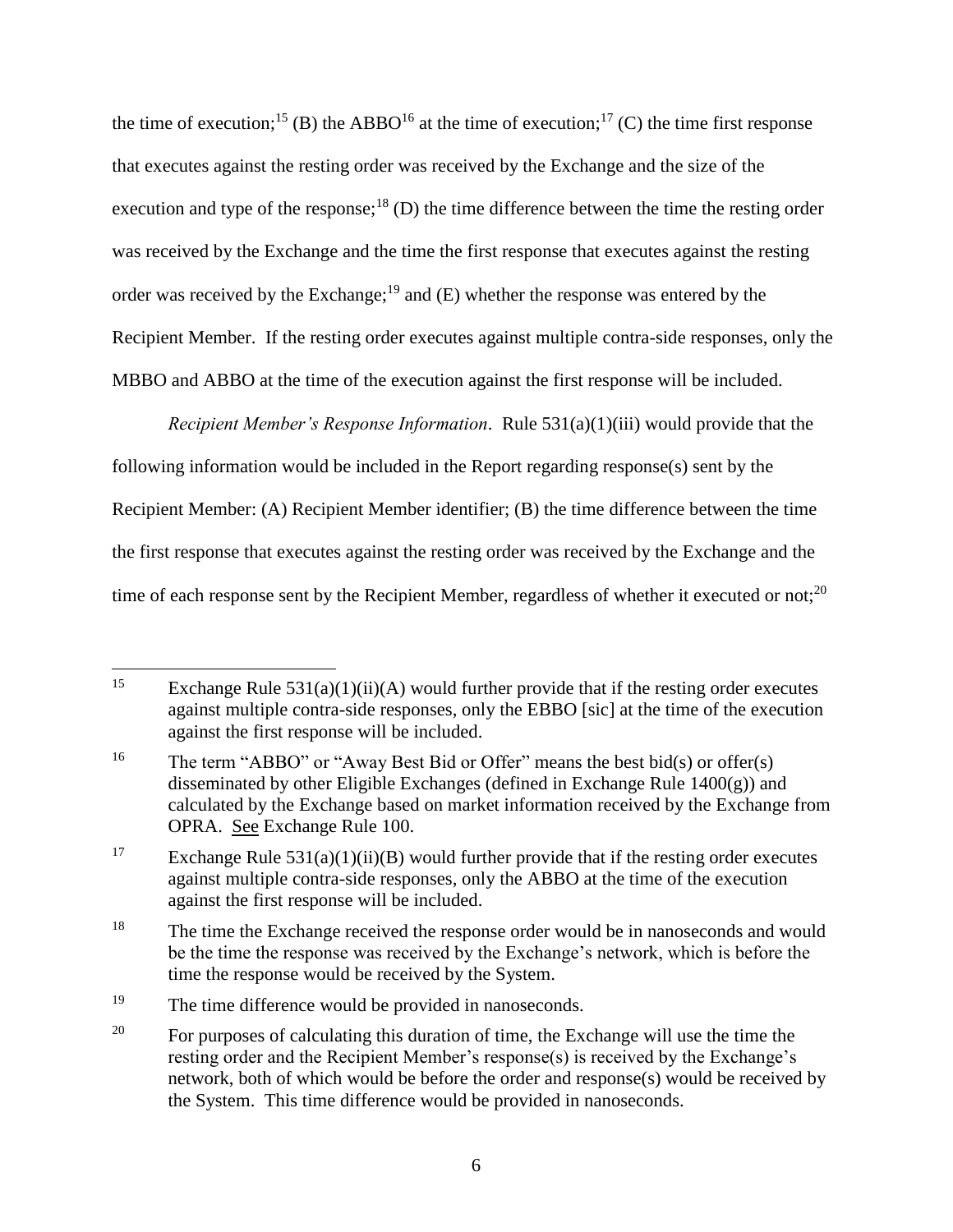the time of execution;<sup>15</sup> (B) the ABBO<sup>16</sup> at the time of execution;<sup>17</sup> (C) the time first response that executes against the resting order was received by the Exchange and the size of the execution and type of the response;<sup>18</sup> (D) the time difference between the time the resting order was received by the Exchange and the time the first response that executes against the resting order was received by the Exchange;<sup>19</sup> and  $(E)$  whether the response was entered by the Recipient Member. If the resting order executes against multiple contra-side responses, only the MBBO and ABBO at the time of the execution against the first response will be included.

*Recipient Member's Response Information*. Rule 531(a)(1)(iii) would provide that the following information would be included in the Report regarding response(s) sent by the Recipient Member: (A) Recipient Member identifier; (B) the time difference between the time the first response that executes against the resting order was received by the Exchange and the time of each response sent by the Recipient Member, regardless of whether it executed or not;  $^{20}$ 

<sup>15</sup> Exchange Rule  $531(a)(1)(ii)(A)$  would further provide that if the resting order executes against multiple contra-side responses, only the EBBO [sic] at the time of the execution against the first response will be included.

<sup>&</sup>lt;sup>16</sup> The term "ABBO" or "Away Best Bid or Offer" means the best bid(s) or offer(s) disseminated by other Eligible Exchanges (defined in Exchange Rule 1400(g)) and calculated by the Exchange based on market information received by the Exchange from OPRA. See Exchange Rule 100.

<sup>&</sup>lt;sup>17</sup> Exchange Rule 531(a)(1)(ii)(B) would further provide that if the resting order executes against multiple contra-side responses, only the ABBO at the time of the execution against the first response will be included.

<sup>&</sup>lt;sup>18</sup> The time the Exchange received the response order would be in nanoseconds and would be the time the response was received by the Exchange's network, which is before the time the response would be received by the System.

<sup>&</sup>lt;sup>19</sup> The time difference would be provided in nanoseconds.

<sup>&</sup>lt;sup>20</sup> For purposes of calculating this duration of time, the Exchange will use the time the resting order and the Recipient Member's response(s) is received by the Exchange's network, both of which would be before the order and response(s) would be received by the System. This time difference would be provided in nanoseconds.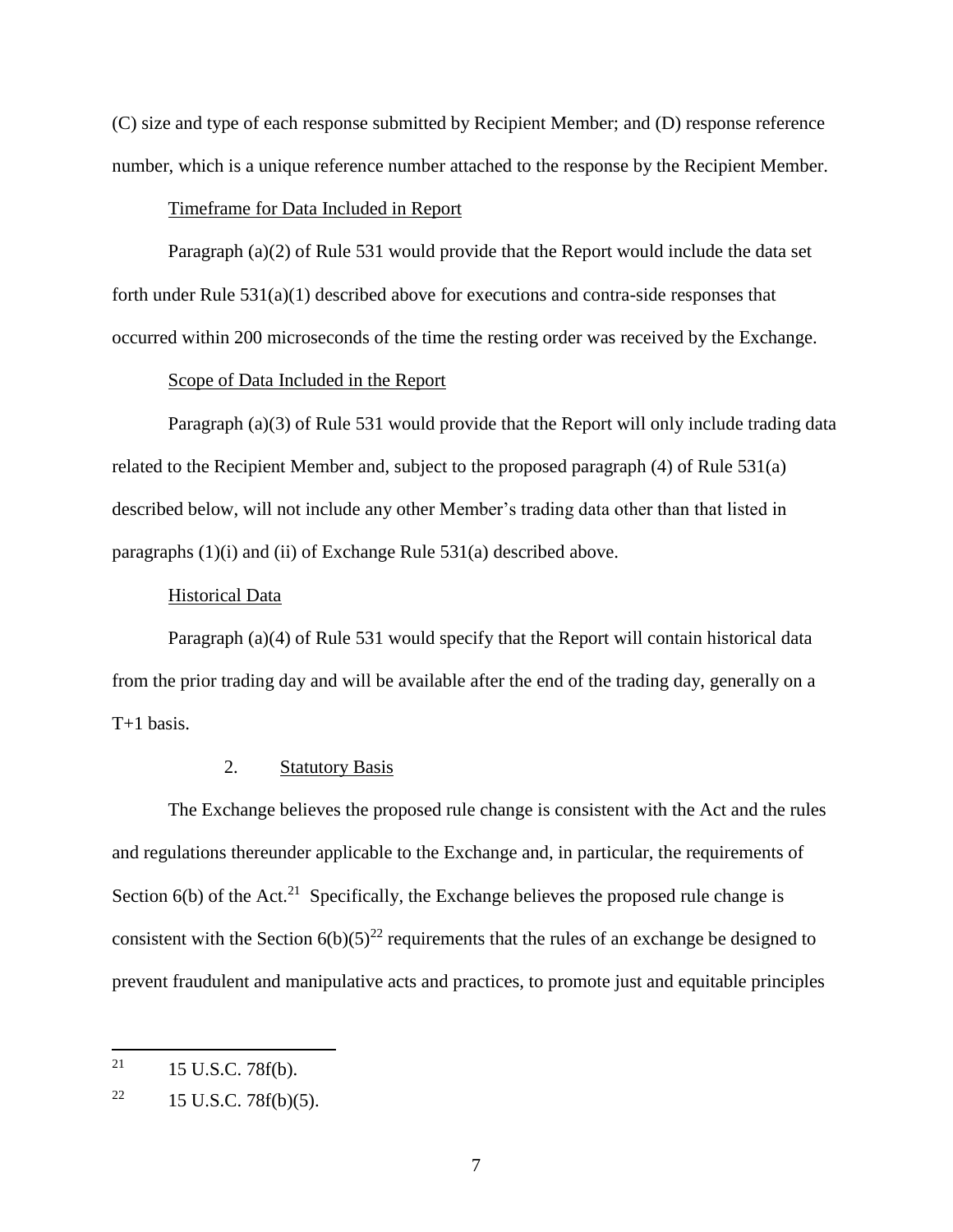(C) size and type of each response submitted by Recipient Member; and (D) response reference number, which is a unique reference number attached to the response by the Recipient Member.

#### Timeframe for Data Included in Report

Paragraph (a)(2) of Rule 531 would provide that the Report would include the data set forth under Rule  $531(a)(1)$  described above for executions and contra-side responses that occurred within 200 microseconds of the time the resting order was received by the Exchange.

### Scope of Data Included in the Report

Paragraph (a)(3) of Rule 531 would provide that the Report will only include trading data related to the Recipient Member and, subject to the proposed paragraph (4) of Rule 531(a) described below, will not include any other Member's trading data other than that listed in paragraphs (1)(i) and (ii) of Exchange Rule 531(a) described above.

#### Historical Data

Paragraph (a)(4) of Rule 531 would specify that the Report will contain historical data from the prior trading day and will be available after the end of the trading day, generally on a  $T+1$  basis.

## 2. Statutory Basis

The Exchange believes the proposed rule change is consistent with the Act and the rules and regulations thereunder applicable to the Exchange and, in particular, the requirements of Section  $6(b)$  of the Act.<sup>21</sup> Specifically, the Exchange believes the proposed rule change is consistent with the Section  $6(b)(5)^{22}$  requirements that the rules of an exchange be designed to prevent fraudulent and manipulative acts and practices, to promote just and equitable principles

<sup>21</sup> 15 U.S.C. 78f(b).

<sup>&</sup>lt;sup>22</sup> 15 U.S.C. 78 $f(b)(5)$ .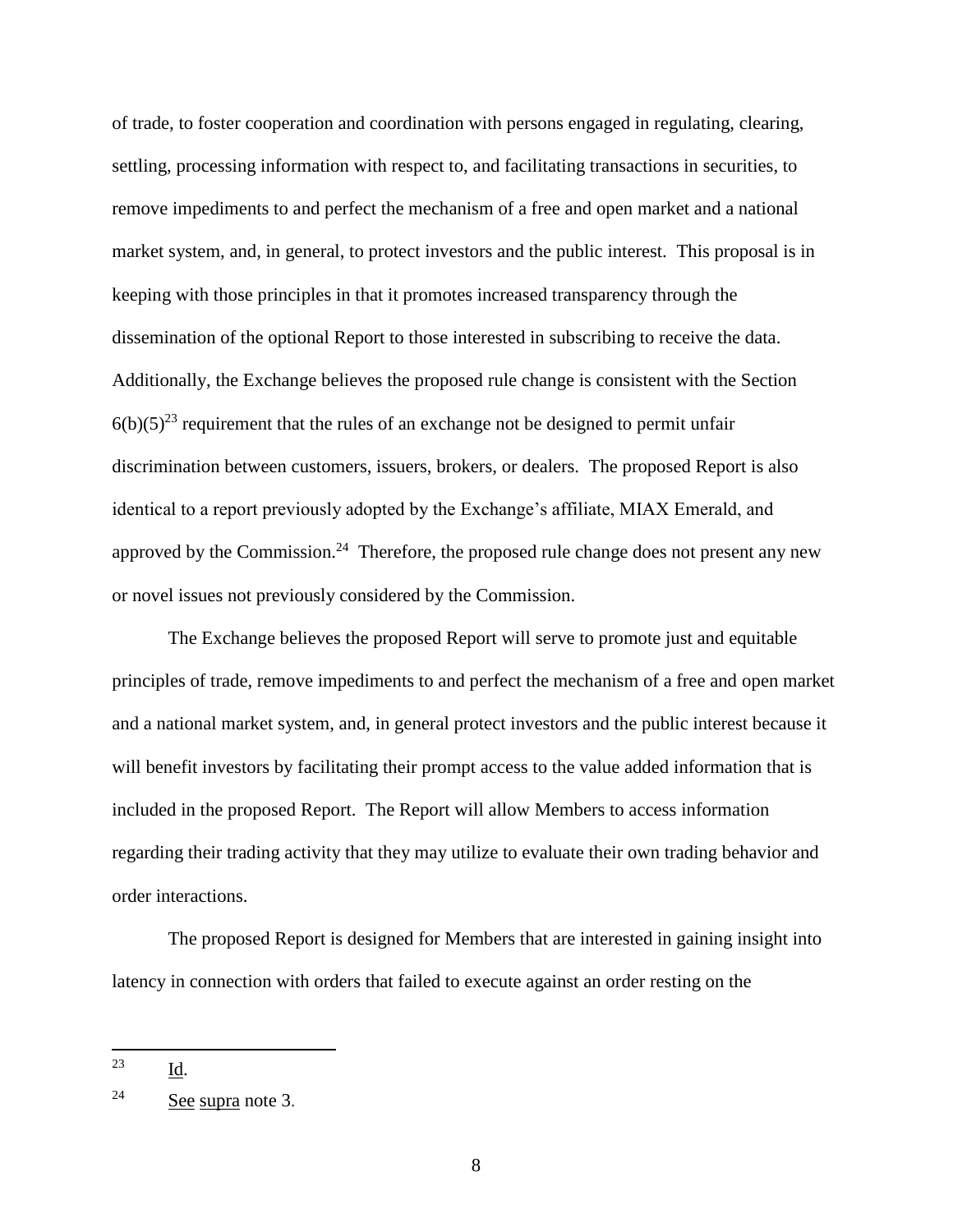of trade, to foster cooperation and coordination with persons engaged in regulating, clearing, settling, processing information with respect to, and facilitating transactions in securities, to remove impediments to and perfect the mechanism of a free and open market and a national market system, and, in general, to protect investors and the public interest. This proposal is in keeping with those principles in that it promotes increased transparency through the dissemination of the optional Report to those interested in subscribing to receive the data. Additionally, the Exchange believes the proposed rule change is consistent with the Section  $6(b)(5)^{23}$  requirement that the rules of an exchange not be designed to permit unfair discrimination between customers, issuers, brokers, or dealers. The proposed Report is also identical to a report previously adopted by the Exchange's affiliate, MIAX Emerald, and approved by the Commission.<sup>24</sup> Therefore, the proposed rule change does not present any new or novel issues not previously considered by the Commission.

The Exchange believes the proposed Report will serve to promote just and equitable principles of trade, remove impediments to and perfect the mechanism of a free and open market and a national market system, and, in general protect investors and the public interest because it will benefit investors by facilitating their prompt access to the value added information that is included in the proposed Report. The Report will allow Members to access information regarding their trading activity that they may utilize to evaluate their own trading behavior and order interactions.

The proposed Report is designed for Members that are interested in gaining insight into latency in connection with orders that failed to execute against an order resting on the

<sup>23</sup> Id.

<sup>24</sup> See supra note 3.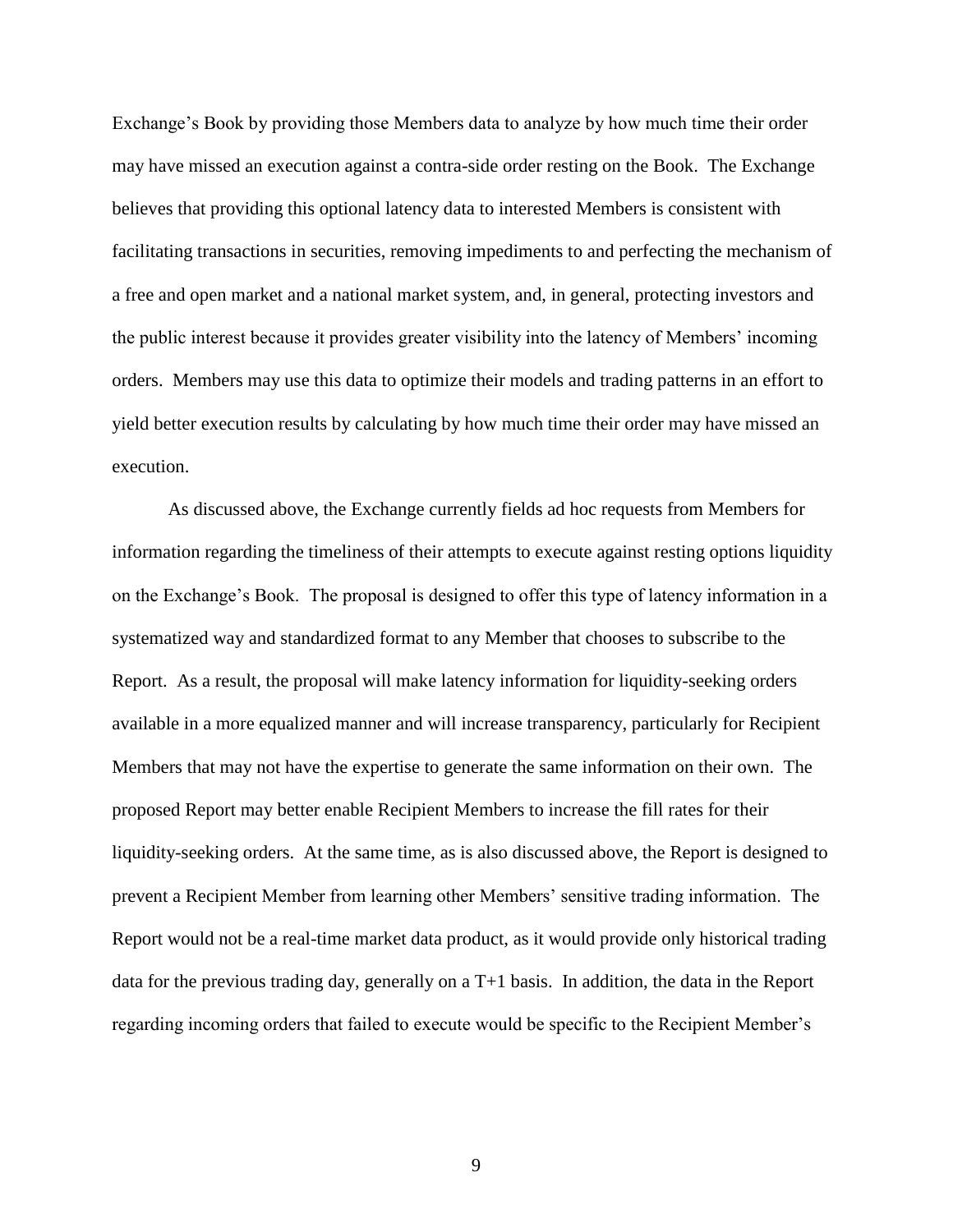Exchange's Book by providing those Members data to analyze by how much time their order may have missed an execution against a contra-side order resting on the Book. The Exchange believes that providing this optional latency data to interested Members is consistent with facilitating transactions in securities, removing impediments to and perfecting the mechanism of a free and open market and a national market system, and, in general, protecting investors and the public interest because it provides greater visibility into the latency of Members' incoming orders. Members may use this data to optimize their models and trading patterns in an effort to yield better execution results by calculating by how much time their order may have missed an execution.

As discussed above, the Exchange currently fields ad hoc requests from Members for information regarding the timeliness of their attempts to execute against resting options liquidity on the Exchange's Book. The proposal is designed to offer this type of latency information in a systematized way and standardized format to any Member that chooses to subscribe to the Report. As a result, the proposal will make latency information for liquidity-seeking orders available in a more equalized manner and will increase transparency, particularly for Recipient Members that may not have the expertise to generate the same information on their own. The proposed Report may better enable Recipient Members to increase the fill rates for their liquidity-seeking orders. At the same time, as is also discussed above, the Report is designed to prevent a Recipient Member from learning other Members' sensitive trading information. The Report would not be a real-time market data product, as it would provide only historical trading data for the previous trading day, generally on a T+1 basis. In addition, the data in the Report regarding incoming orders that failed to execute would be specific to the Recipient Member's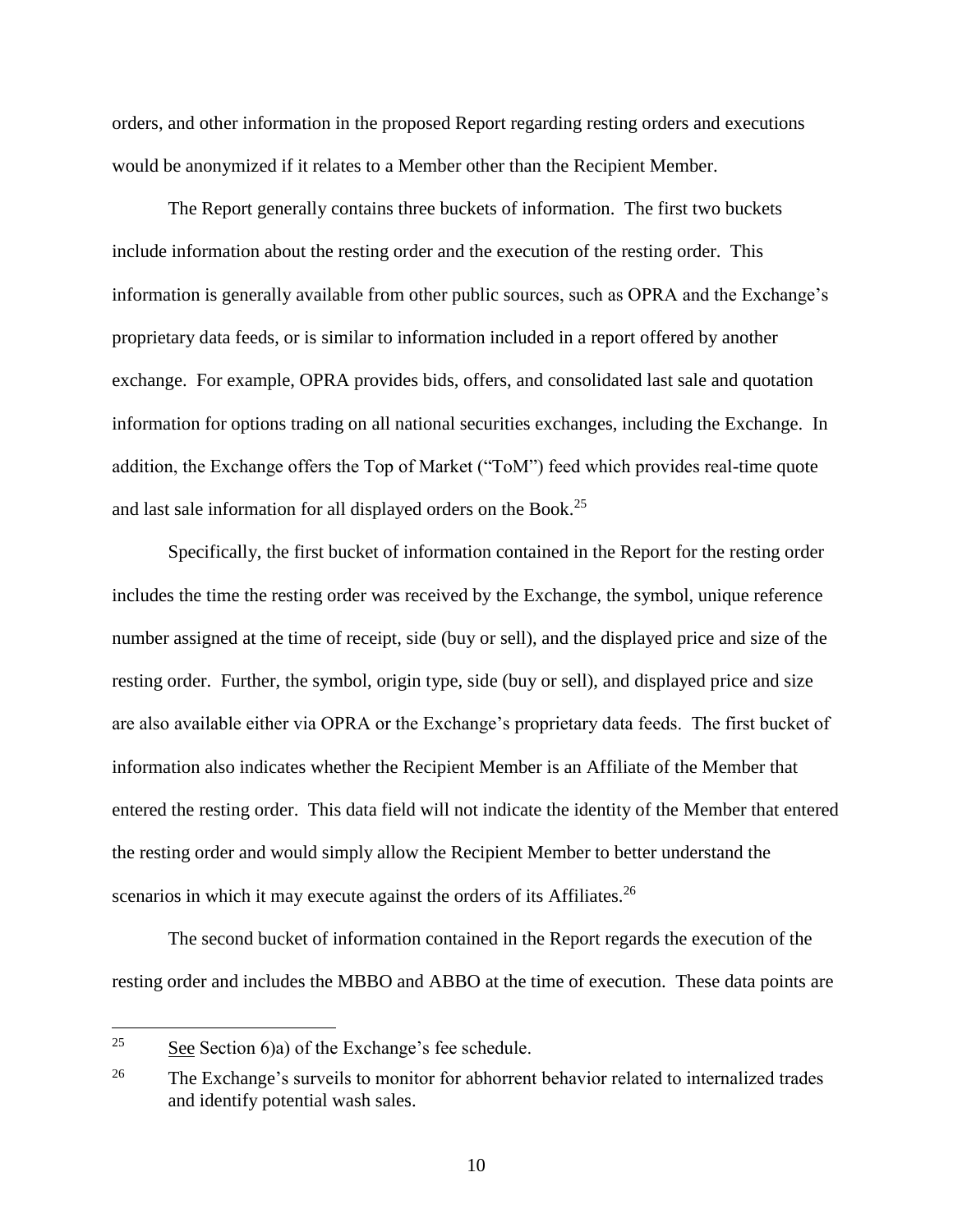orders, and other information in the proposed Report regarding resting orders and executions would be anonymized if it relates to a Member other than the Recipient Member.

The Report generally contains three buckets of information. The first two buckets include information about the resting order and the execution of the resting order. This information is generally available from other public sources, such as OPRA and the Exchange's proprietary data feeds, or is similar to information included in a report offered by another exchange. For example, OPRA provides bids, offers, and consolidated last sale and quotation information for options trading on all national securities exchanges, including the Exchange. In addition, the Exchange offers the Top of Market ("ToM") feed which provides real-time quote and last sale information for all displayed orders on the Book.<sup>25</sup>

Specifically, the first bucket of information contained in the Report for the resting order includes the time the resting order was received by the Exchange, the symbol, unique reference number assigned at the time of receipt, side (buy or sell), and the displayed price and size of the resting order. Further, the symbol, origin type, side (buy or sell), and displayed price and size are also available either via OPRA or the Exchange's proprietary data feeds. The first bucket of information also indicates whether the Recipient Member is an Affiliate of the Member that entered the resting order. This data field will not indicate the identity of the Member that entered the resting order and would simply allow the Recipient Member to better understand the scenarios in which it may execute against the orders of its Affiliates.<sup>26</sup>

The second bucket of information contained in the Report regards the execution of the resting order and includes the MBBO and ABBO at the time of execution. These data points are

<sup>25</sup> See Section 6)a) of the Exchange's fee schedule.

<sup>&</sup>lt;sup>26</sup> The Exchange's surveils to monitor for abhorrent behavior related to internalized trades and identify potential wash sales.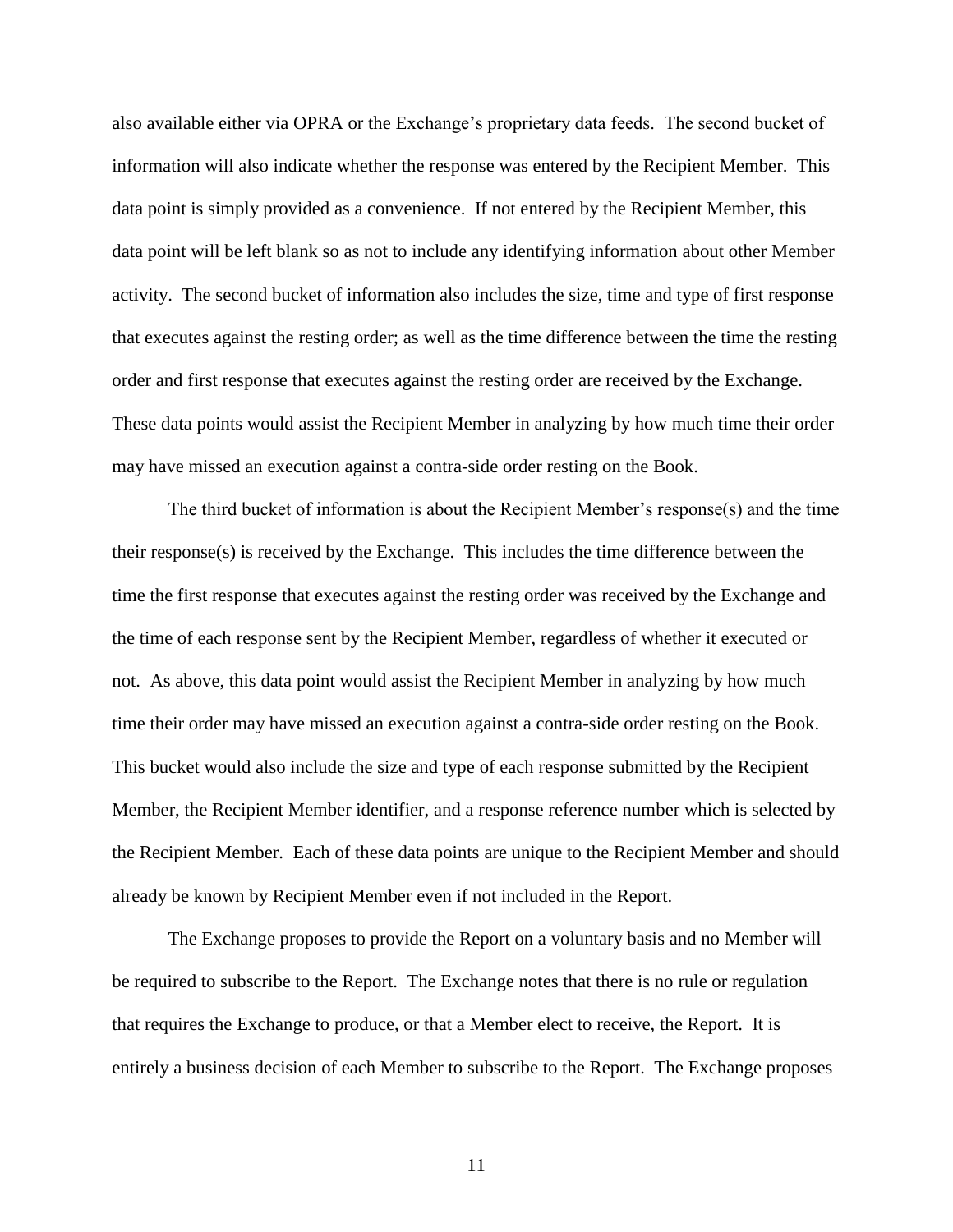also available either via OPRA or the Exchange's proprietary data feeds. The second bucket of information will also indicate whether the response was entered by the Recipient Member. This data point is simply provided as a convenience. If not entered by the Recipient Member, this data point will be left blank so as not to include any identifying information about other Member activity. The second bucket of information also includes the size, time and type of first response that executes against the resting order; as well as the time difference between the time the resting order and first response that executes against the resting order are received by the Exchange. These data points would assist the Recipient Member in analyzing by how much time their order may have missed an execution against a contra-side order resting on the Book.

The third bucket of information is about the Recipient Member's response(s) and the time their response(s) is received by the Exchange. This includes the time difference between the time the first response that executes against the resting order was received by the Exchange and the time of each response sent by the Recipient Member, regardless of whether it executed or not. As above, this data point would assist the Recipient Member in analyzing by how much time their order may have missed an execution against a contra-side order resting on the Book. This bucket would also include the size and type of each response submitted by the Recipient Member, the Recipient Member identifier, and a response reference number which is selected by the Recipient Member. Each of these data points are unique to the Recipient Member and should already be known by Recipient Member even if not included in the Report.

The Exchange proposes to provide the Report on a voluntary basis and no Member will be required to subscribe to the Report. The Exchange notes that there is no rule or regulation that requires the Exchange to produce, or that a Member elect to receive, the Report. It is entirely a business decision of each Member to subscribe to the Report. The Exchange proposes

11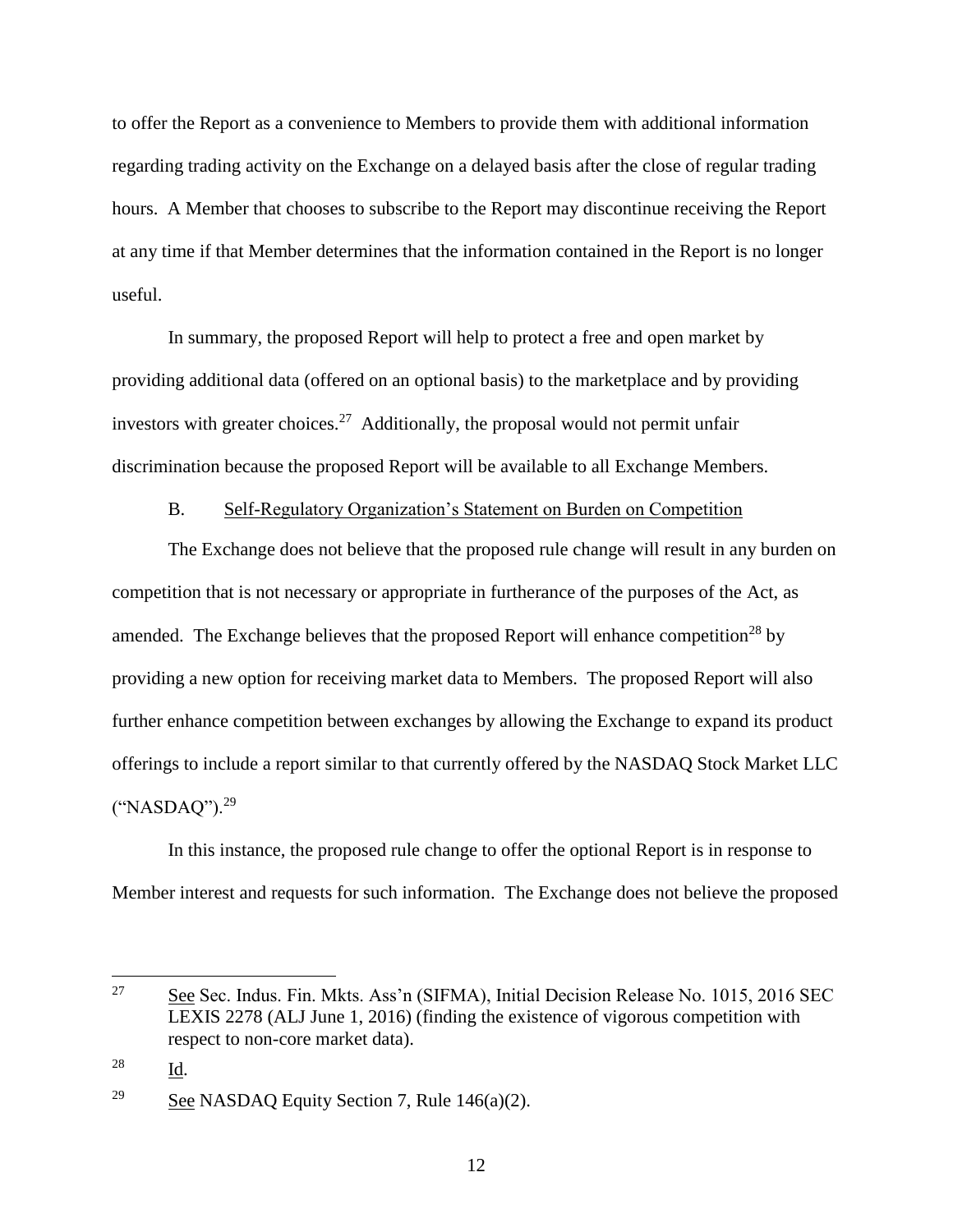to offer the Report as a convenience to Members to provide them with additional information regarding trading activity on the Exchange on a delayed basis after the close of regular trading hours. A Member that chooses to subscribe to the Report may discontinue receiving the Report at any time if that Member determines that the information contained in the Report is no longer useful.

In summary, the proposed Report will help to protect a free and open market by providing additional data (offered on an optional basis) to the marketplace and by providing investors with greater choices.<sup>27</sup> Additionally, the proposal would not permit unfair discrimination because the proposed Report will be available to all Exchange Members.

### B. Self-Regulatory Organization's Statement on Burden on Competition

The Exchange does not believe that the proposed rule change will result in any burden on competition that is not necessary or appropriate in furtherance of the purposes of the Act, as amended. The Exchange believes that the proposed Report will enhance competition<sup>28</sup> by providing a new option for receiving market data to Members. The proposed Report will also further enhance competition between exchanges by allowing the Exchange to expand its product offerings to include a report similar to that currently offered by the NASDAQ Stock Market LLC ("NASDAQ").<sup>29</sup>

In this instance, the proposed rule change to offer the optional Report is in response to Member interest and requests for such information. The Exchange does not believe the proposed

 $\overline{a}$ 

<sup>&</sup>lt;sup>27</sup> See Sec. Indus. Fin. Mkts. Ass'n (SIFMA), Initial Decision Release No. 1015, 2016 SEC LEXIS 2278 (ALJ June 1, 2016) (finding the existence of vigorous competition with respect to non-core market data).

<sup>28</sup> Id.

<sup>&</sup>lt;sup>29</sup> See NASDAQ Equity Section 7, Rule  $146(a)(2)$ .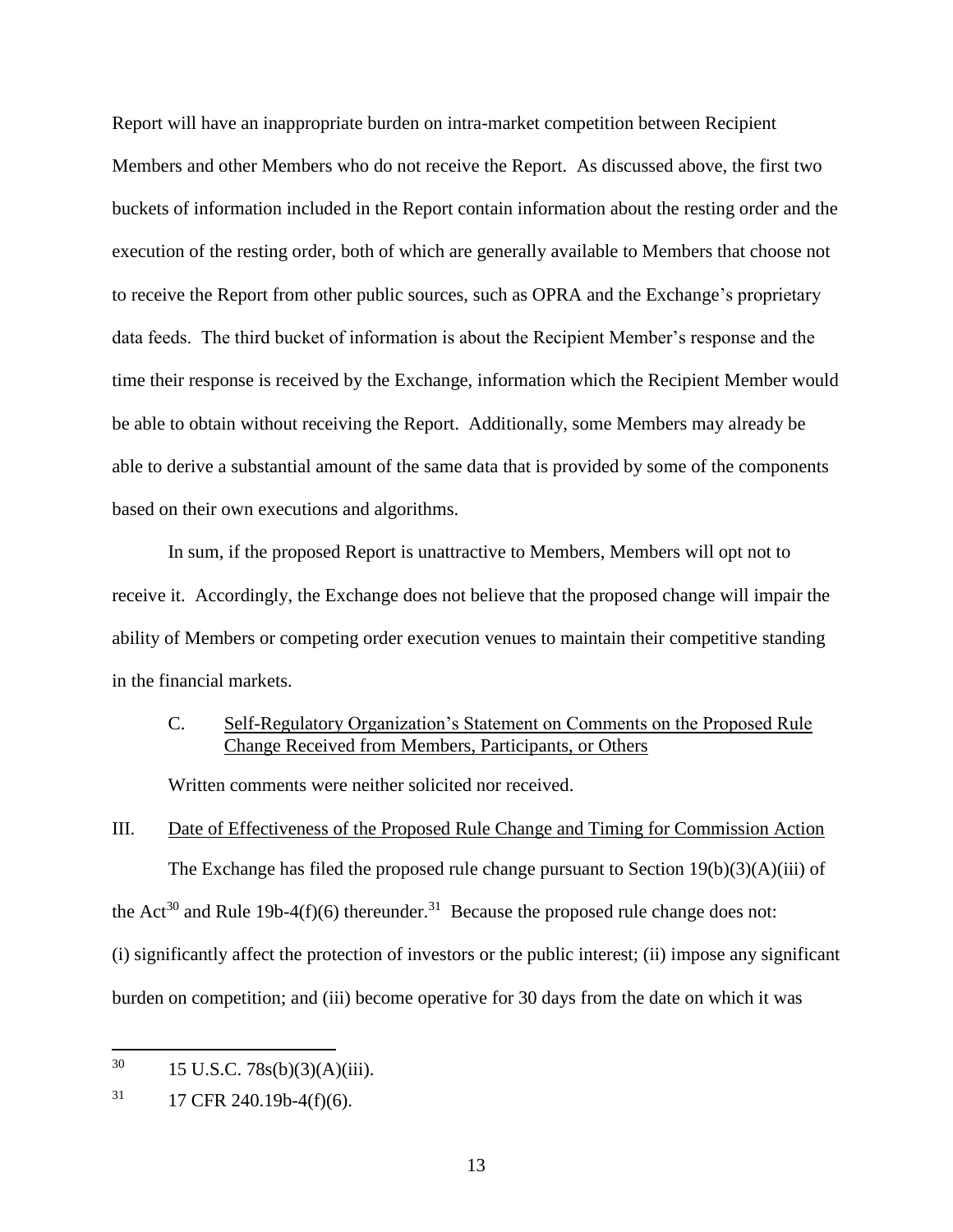Report will have an inappropriate burden on intra-market competition between Recipient Members and other Members who do not receive the Report. As discussed above, the first two buckets of information included in the Report contain information about the resting order and the execution of the resting order, both of which are generally available to Members that choose not to receive the Report from other public sources, such as OPRA and the Exchange's proprietary data feeds. The third bucket of information is about the Recipient Member's response and the time their response is received by the Exchange, information which the Recipient Member would be able to obtain without receiving the Report. Additionally, some Members may already be able to derive a substantial amount of the same data that is provided by some of the components based on their own executions and algorithms.

In sum, if the proposed Report is unattractive to Members, Members will opt not to receive it. Accordingly, the Exchange does not believe that the proposed change will impair the ability of Members or competing order execution venues to maintain their competitive standing in the financial markets.

## C. Self-Regulatory Organization's Statement on Comments on the Proposed Rule Change Received from Members, Participants, or Others

Written comments were neither solicited nor received.

## III. Date of Effectiveness of the Proposed Rule Change and Timing for Commission Action

The Exchange has filed the proposed rule change pursuant to Section  $19(b)(3)(A)(iii)$  of the Act<sup>30</sup> and Rule 19b-4(f)(6) thereunder.<sup>31</sup> Because the proposed rule change does not: (i) significantly affect the protection of investors or the public interest; (ii) impose any significant burden on competition; and (iii) become operative for 30 days from the date on which it was

 $\overline{a}$ 

 $30 \qquad 15 \text{ U.S.C. } 78s(b)(3)(A)(iii).$ 

 $31$  17 CFR 240.19b-4(f)(6).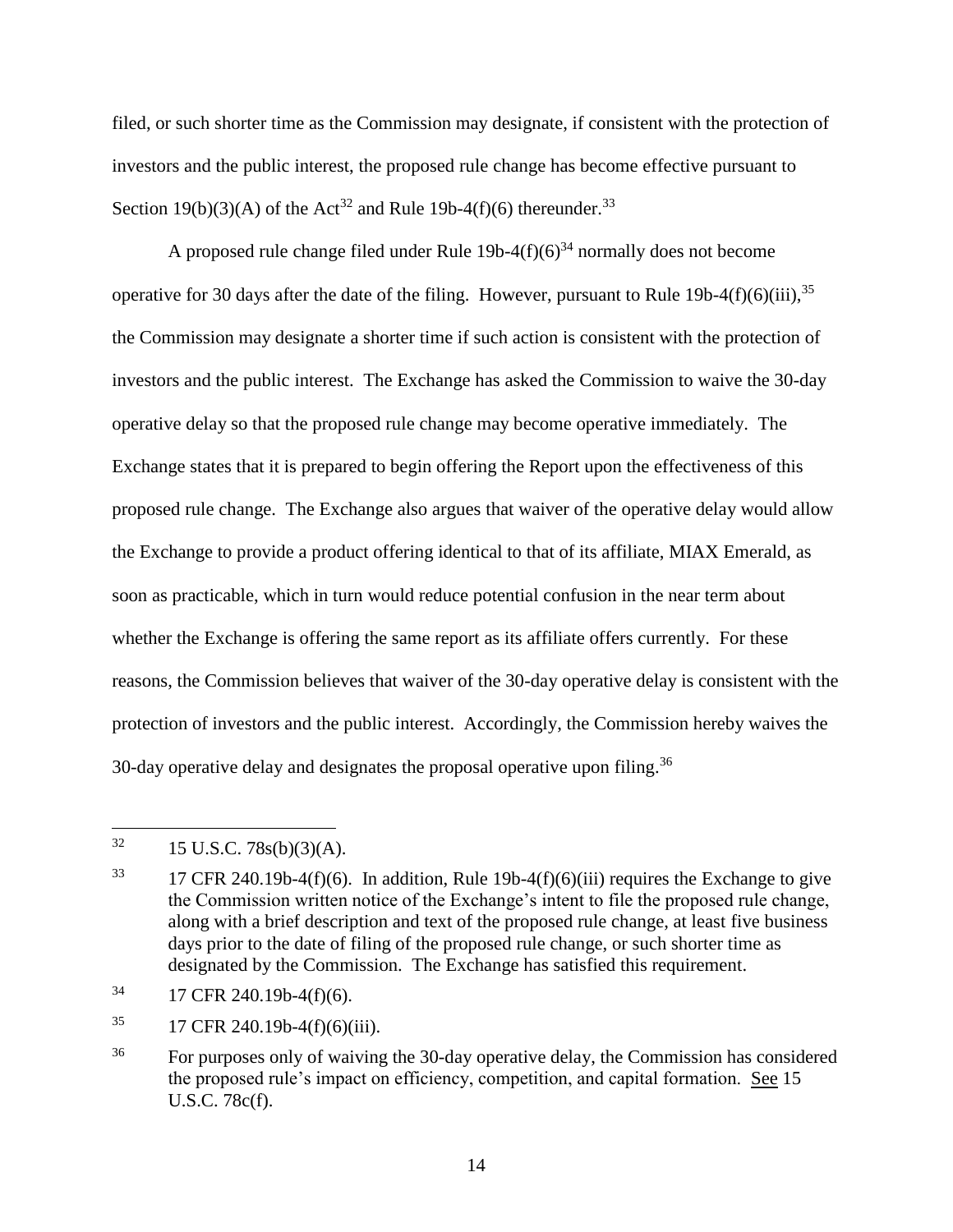filed, or such shorter time as the Commission may designate, if consistent with the protection of investors and the public interest, the proposed rule change has become effective pursuant to Section 19(b)(3)(A) of the Act<sup>32</sup> and Rule 19b-4(f)(6) thereunder.<sup>33</sup>

A proposed rule change filed under Rule  $19b-4(f)(6)^{34}$  normally does not become operative for 30 days after the date of the filing. However, pursuant to Rule 19b-4(f)(6)(iii),  $35$ the Commission may designate a shorter time if such action is consistent with the protection of investors and the public interest. The Exchange has asked the Commission to waive the 30-day operative delay so that the proposed rule change may become operative immediately. The Exchange states that it is prepared to begin offering the Report upon the effectiveness of this proposed rule change. The Exchange also argues that waiver of the operative delay would allow the Exchange to provide a product offering identical to that of its affiliate, MIAX Emerald, as soon as practicable, which in turn would reduce potential confusion in the near term about whether the Exchange is offering the same report as its affiliate offers currently. For these reasons, the Commission believes that waiver of the 30-day operative delay is consistent with the protection of investors and the public interest. Accordingly, the Commission hereby waives the 30-day operative delay and designates the proposal operative upon filing.<sup>36</sup>

- $34$  17 CFR 240.19b-4(f)(6).
- $^{35}$  17 CFR 240.19b-4(f)(6)(iii).

 $32$ <sup>32</sup> 15 U.S.C. 78s(b)(3)(A).

<sup>&</sup>lt;sup>33</sup> 17 CFR 240.19b-4(f)(6). In addition, Rule 19b-4(f)(6)(iii) requires the Exchange to give the Commission written notice of the Exchange's intent to file the proposed rule change, along with a brief description and text of the proposed rule change, at least five business days prior to the date of filing of the proposed rule change, or such shorter time as designated by the Commission. The Exchange has satisfied this requirement.

<sup>&</sup>lt;sup>36</sup> For purposes only of waiving the 30-day operative delay, the Commission has considered the proposed rule's impact on efficiency, competition, and capital formation. See 15 U.S.C. 78c(f).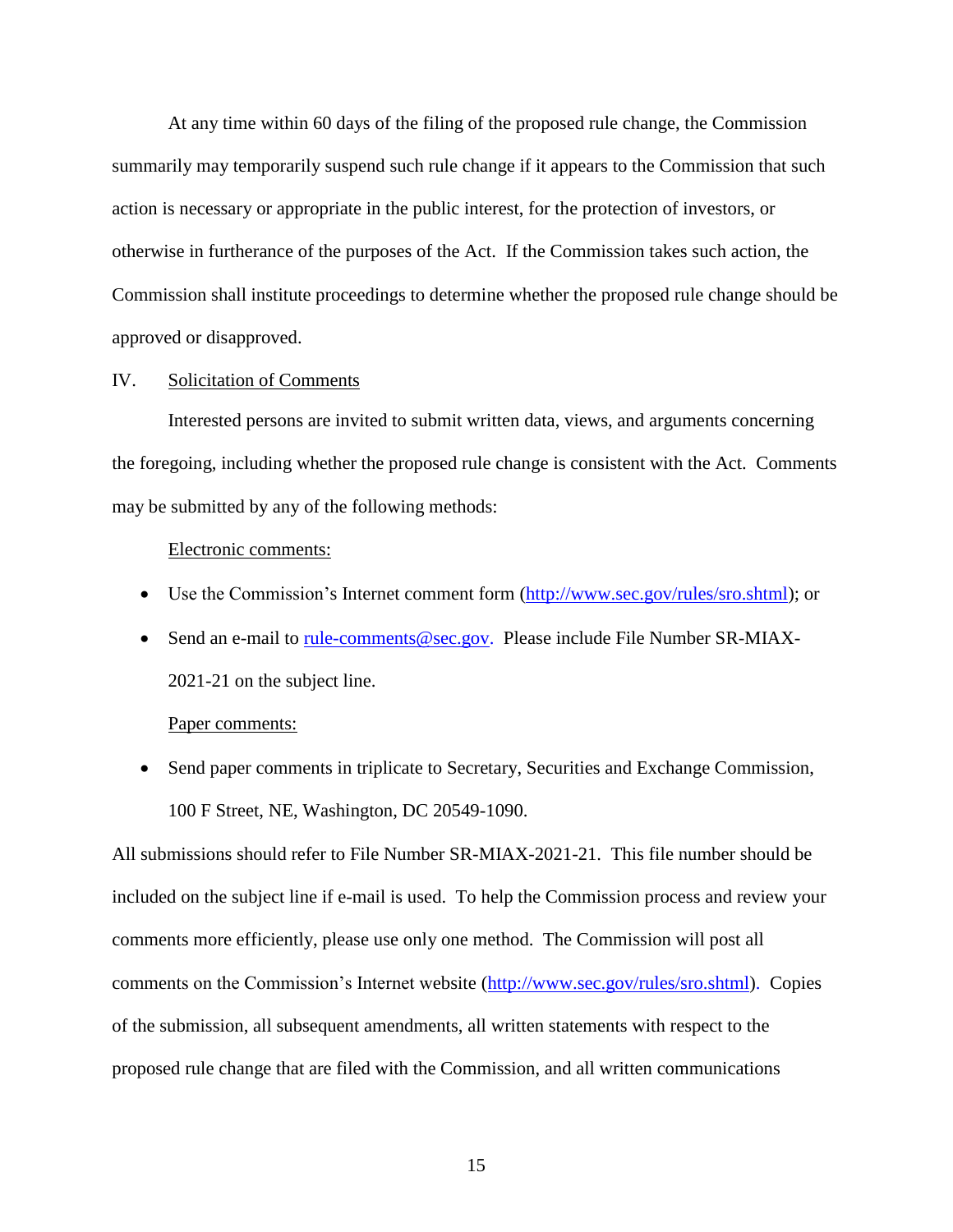At any time within 60 days of the filing of the proposed rule change, the Commission summarily may temporarily suspend such rule change if it appears to the Commission that such action is necessary or appropriate in the public interest, for the protection of investors, or otherwise in furtherance of the purposes of the Act. If the Commission takes such action, the Commission shall institute proceedings to determine whether the proposed rule change should be approved or disapproved.

#### IV. Solicitation of Comments

Interested persons are invited to submit written data, views, and arguments concerning the foregoing, including whether the proposed rule change is consistent with the Act. Comments may be submitted by any of the following methods:

#### Electronic comments:

- Use the Commission's Internet comment form [\(http://www.sec.gov/rules/sro.shtml\)](http://www.sec.gov/rules/sro.shtml); or
- Send an e-mail to [rule-comments@sec.gov.](mailto:rule-comments@sec.gov) Please include File Number SR-MIAX-2021-21 on the subject line.

#### Paper comments:

• Send paper comments in triplicate to Secretary, Securities and Exchange Commission, 100 F Street, NE, Washington, DC 20549-1090.

All submissions should refer to File Number SR-MIAX-2021-21. This file number should be included on the subject line if e-mail is used. To help the Commission process and review your comments more efficiently, please use only one method. The Commission will post all comments on the Commission's Internet website (http://www.sec.gov/rules/sro.shtml). Copies of the submission, all subsequent amendments, all written statements with respect to the proposed rule change that are filed with the Commission, and all written communications

15